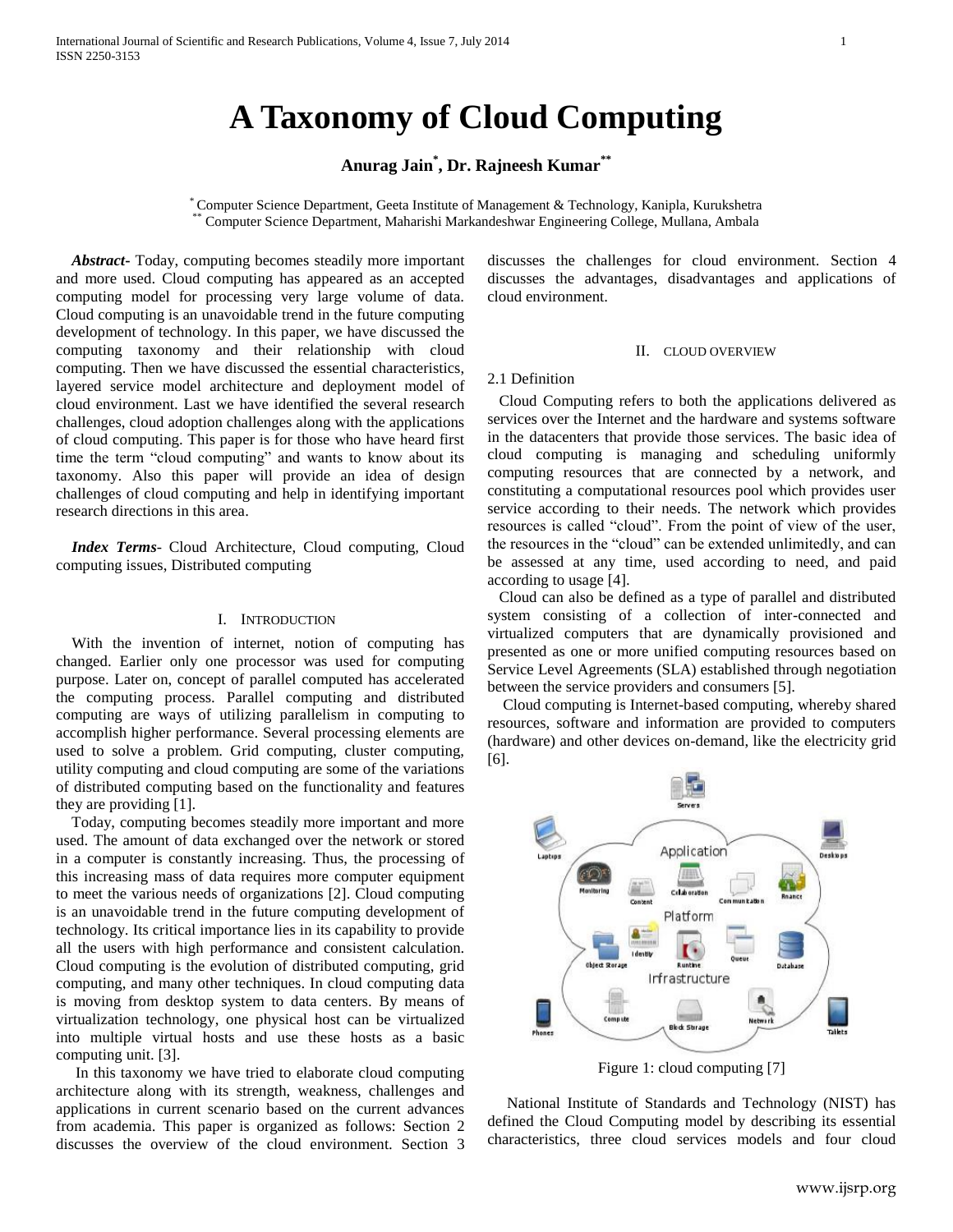# **A Taxonomy of Cloud Computing**

## **Anurag Jain\* , Dr. Rajneesh Kumar\*\***

\* Computer Science Department, Geeta Institute of Management & Technology, Kanipla, Kurukshetra \*\* Computer Science Department, Maharishi Markandeshwar Engineering College, Mullana, Ambala

 *Abstract***-** Today, computing becomes steadily more important and more used. Cloud computing has appeared as an accepted computing model for processing very large volume of data. Cloud computing is an unavoidable trend in the future computing development of technology. In this paper, we have discussed the computing taxonomy and their relationship with cloud computing. Then we have discussed the essential characteristics, layered service model architecture and deployment model of cloud environment. Last we have identified the several research challenges, cloud adoption challenges along with the applications of cloud computing. This paper is for those who have heard first time the term "cloud computing" and wants to know about its taxonomy. Also this paper will provide an idea of design challenges of cloud computing and help in identifying important research directions in this area.

 *Index Terms*- Cloud Architecture, Cloud computing, Cloud computing issues, Distributed computing

## I. INTRODUCTION

 With the invention of internet, notion of computing has changed. Earlier only one processor was used for computing purpose. Later on, concept of parallel computed has accelerated the computing process. Parallel computing and distributed computing are ways of utilizing parallelism in computing to accomplish higher performance. Several processing elements are used to solve a problem. Grid computing, cluster computing, utility computing and cloud computing are some of the variations of distributed computing based on the functionality and features they are providing [1].

 Today, computing becomes steadily more important and more used. The amount of data exchanged over the network or stored in a computer is constantly increasing. Thus, the processing of this increasing mass of data requires more computer equipment to meet the various needs of organizations [2]. Cloud computing is an unavoidable trend in the future computing development of technology. Its critical importance lies in its capability to provide all the users with high performance and consistent calculation. Cloud computing is the evolution of distributed computing, grid computing, and many other techniques. In cloud computing data is moving from desktop system to data centers. By means of virtualization technology, one physical host can be virtualized into multiple virtual hosts and use these hosts as a basic computing unit. [3].

 In this taxonomy we have tried to elaborate cloud computing architecture along with its strength, weakness, challenges and applications in current scenario based on the current advances from academia. This paper is organized as follows: Section 2 discusses the overview of the cloud environment. Section 3 discusses the challenges for cloud environment. Section 4 discusses the advantages, disadvantages and applications of cloud environment.

#### II. CLOUD OVERVIEW

#### 2.1 Definition

 Cloud Computing refers to both the applications delivered as services over the Internet and the hardware and systems software in the datacenters that provide those services. The basic idea of cloud computing is managing and scheduling uniformly computing resources that are connected by a network, and constituting a computational resources pool which provides user service according to their needs. The network which provides resources is called "cloud". From the point of view of the user, the resources in the "cloud" can be extended unlimitedly, and can be assessed at any time, used according to need, and paid according to usage [4].

 Cloud can also be defined as a type of parallel and distributed system consisting of a collection of inter-connected and virtualized computers that are dynamically provisioned and presented as one or more unified computing resources based on Service Level Agreements (SLA) established through negotiation between the service providers and consumers [5].

 Cloud computing is Internet-based computing, whereby shared resources, software and information are provided to computers (hardware) and other devices on-demand, like the electricity grid [6].



Figure 1: cloud computing [7]

 National Institute of Standards and Technology (NIST) has defined the Cloud Computing model by describing its essential characteristics, three cloud services models and four cloud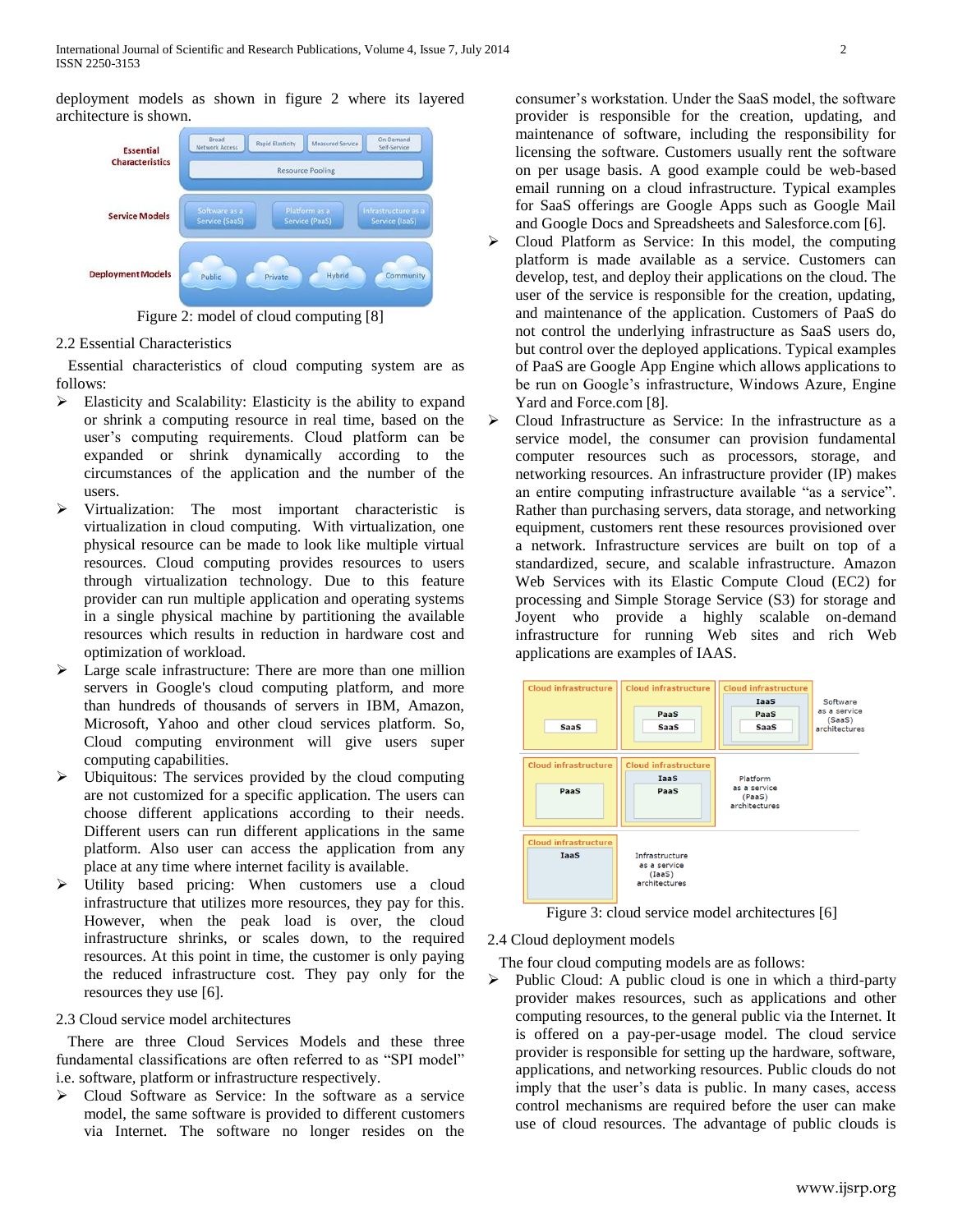deployment models as shown in figure 2 where its layered architecture is shown.



Figure 2: model of cloud computing [8]

## 2.2 Essential Characteristics

 Essential characteristics of cloud computing system are as follows:

- $\triangleright$  Elasticity and Scalability: Elasticity is the ability to expand or shrink a computing resource in real time, based on the user's computing requirements. Cloud platform can be expanded or shrink dynamically according to the circumstances of the application and the number of the users.
- Virtualization: The most important characteristic is virtualization in cloud computing. With virtualization, one physical resource can be made to look like multiple virtual resources. Cloud computing provides resources to users through virtualization technology. Due to this feature provider can run multiple application and operating systems in a single physical machine by partitioning the available resources which results in reduction in hardware cost and optimization of workload.
- Large scale infrastructure: There are more than one million servers in Google's cloud computing platform, and more than hundreds of thousands of servers in IBM, Amazon, Microsoft, Yahoo and other cloud services platform. So, Cloud computing environment will give users super computing capabilities.
- $\triangleright$  Ubiquitous: The services provided by the cloud computing are not customized for a specific application. The users can choose different applications according to their needs. Different users can run different applications in the same platform. Also user can access the application from any place at any time where internet facility is available.
- Utility based pricing: When customers use a cloud infrastructure that utilizes more resources, they pay for this. However, when the peak load is over, the cloud infrastructure shrinks, or scales down, to the required resources. At this point in time, the customer is only paying the reduced infrastructure cost. They pay only for the resources they use [6].

## 2.3 Cloud service model architectures

 There are three Cloud Services Models and these three fundamental classifications are often referred to as "SPI model" i.e. software, platform or infrastructure respectively.

 Cloud Software as Service: In the software as a service model, the same software is provided to different customers via Internet. The software no longer resides on the consumer's workstation. Under the SaaS model, the software provider is responsible for the creation, updating, and maintenance of software, including the responsibility for licensing the software. Customers usually rent the software on per usage basis. A good example could be web-based email running on a cloud infrastructure. Typical examples for SaaS offerings are Google Apps such as Google Mail and Google Docs and Spreadsheets and Salesforce.com [6].

- $\triangleright$  Cloud Platform as Service: In this model, the computing platform is made available as a service. Customers can develop, test, and deploy their applications on the cloud. The user of the service is responsible for the creation, updating, and maintenance of the application. Customers of PaaS do not control the underlying infrastructure as SaaS users do, but control over the deployed applications. Typical examples of PaaS are Google App Engine which allows applications to be run on Google's infrastructure, Windows Azure, Engine Yard and Force.com [8].
- Cloud Infrastructure as Service: In the infrastructure as a service model, the consumer can provision fundamental computer resources such as processors, storage, and networking resources. An infrastructure provider (IP) makes an entire computing infrastructure available "as a service". Rather than purchasing servers, data storage, and networking equipment, customers rent these resources provisioned over a network. Infrastructure services are built on top of a standardized, secure, and scalable infrastructure. Amazon Web Services with its Elastic Compute Cloud (EC2) for processing and Simple Storage Service (S3) for storage and Joyent who provide a highly scalable on-demand infrastructure for running Web sites and rich Web applications are examples of IAAS.





## 2.4 Cloud deployment models

The four cloud computing models are as follows:

 $\triangleright$  Public Cloud: A public cloud is one in which a third-party provider makes resources, such as applications and other computing resources, to the general public via the Internet. It is offered on a pay-per-usage model. The cloud service provider is responsible for setting up the hardware, software, applications, and networking resources. Public clouds do not imply that the user's data is public. In many cases, access control mechanisms are required before the user can make use of cloud resources. The advantage of public clouds is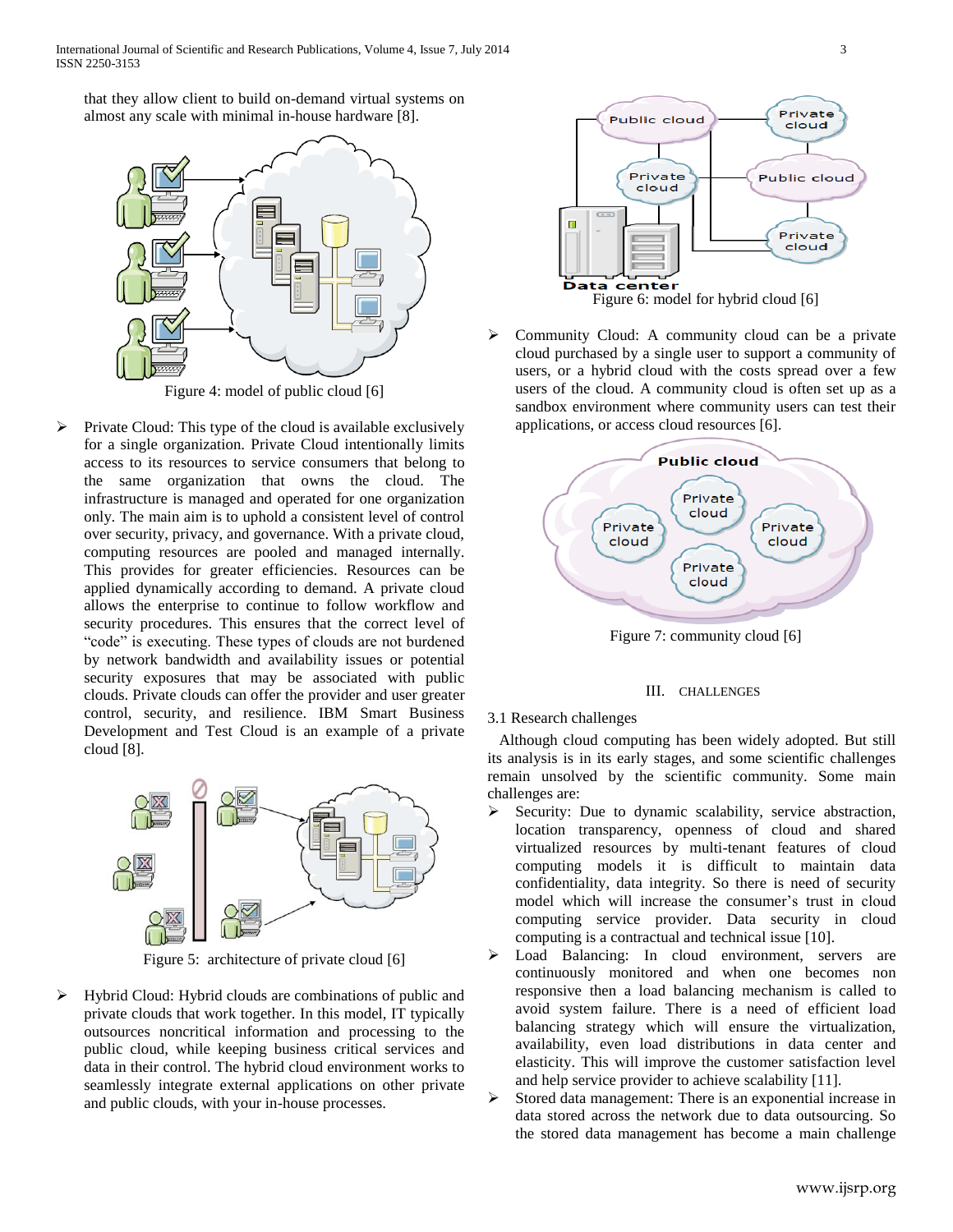that they allow client to build on-demand virtual systems on almost any scale with minimal in-house hardware [8].



Figure 4: model of public cloud [6]

 $\triangleright$  Private Cloud: This type of the cloud is available exclusively for a single organization. Private Cloud intentionally limits access to its resources to service consumers that belong to the same organization that owns the cloud. The infrastructure is managed and operated for one organization only. The main aim is to uphold a consistent level of control over security, privacy, and governance. With a private cloud, computing resources are pooled and managed internally. This provides for greater efficiencies. Resources can be applied dynamically according to demand. A private cloud allows the enterprise to continue to follow workflow and security procedures. This ensures that the correct level of "code" is executing. These types of clouds are not burdened by network bandwidth and availability issues or potential security exposures that may be associated with public clouds. Private clouds can offer the provider and user greater control, security, and resilience. IBM Smart Business Development and Test Cloud is an example of a private cloud [8].



Figure 5: architecture of private cloud [6]

 $\triangleright$  Hybrid Cloud: Hybrid clouds are combinations of public and private clouds that work together. In this model, IT typically outsources noncritical information and processing to the public cloud, while keeping business critical services and data in their control. The hybrid cloud environment works to seamlessly integrate external applications on other private and public clouds, with your in-house processes.



 $\triangleright$  Community Cloud: A community cloud can be a private cloud purchased by a single user to support a community of users, or a hybrid cloud with the costs spread over a few users of the cloud. A community cloud is often set up as a sandbox environment where community users can test their applications, or access cloud resources [6].



Figure 7: community cloud [6]

## III. CHALLENGES

## 3.1 Research challenges

 Although cloud computing has been widely adopted. But still its analysis is in its early stages, and some scientific challenges remain unsolved by the scientific community. Some main challenges are:

- $\triangleright$  Security: Due to dynamic scalability, service abstraction, location transparency, openness of cloud and shared virtualized resources by multi-tenant features of cloud computing models it is difficult to maintain data confidentiality, data integrity. So there is need of security model which will increase the consumer's trust in cloud computing service provider. Data security in cloud computing is a contractual and technical issue [10].
- Load Balancing: In cloud environment, servers are continuously monitored and when one becomes non responsive then a load balancing mechanism is called to avoid system failure. There is a need of efficient load balancing strategy which will ensure the virtualization, availability, even load distributions in data center and elasticity. This will improve the customer satisfaction level and help service provider to achieve scalability [11].
- Stored data management: There is an exponential increase in data stored across the network due to data outsourcing. So the stored data management has become a main challenge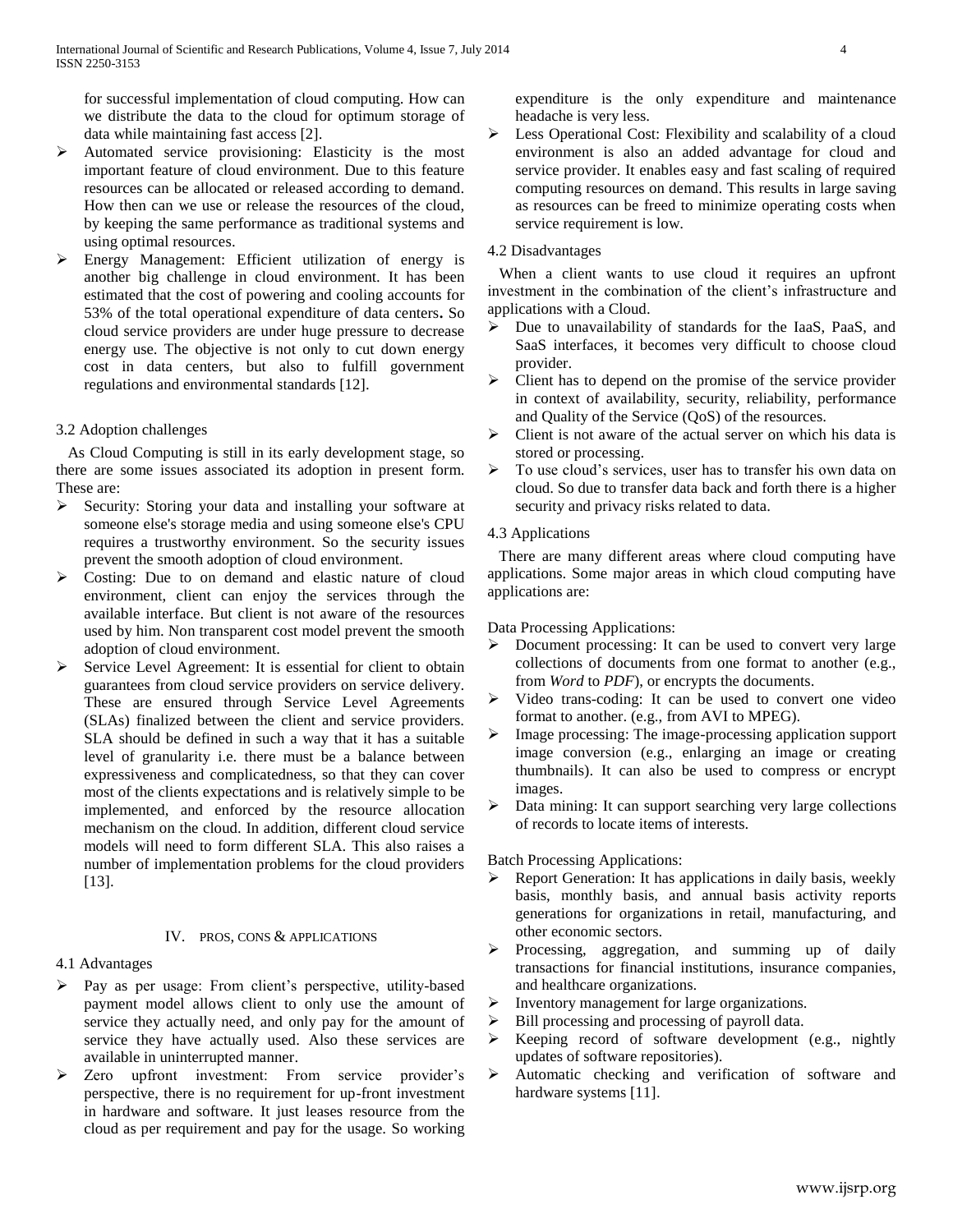for successful implementation of cloud computing. How can we distribute the data to the cloud for optimum storage of data while maintaining fast access [2].

- $\triangleright$  Automated service provisioning: Elasticity is the most important feature of cloud environment. Due to this feature resources can be allocated or released according to demand. How then can we use or release the resources of the cloud, by keeping the same performance as traditional systems and using optimal resources.
- Energy Management: Efficient utilization of energy is another big challenge in cloud environment. It has been estimated that the cost of powering and cooling accounts for 53% of the total operational expenditure of data centers**.** So cloud service providers are under huge pressure to decrease energy use. The objective is not only to cut down energy cost in data centers, but also to fulfill government regulations and environmental standards [12].

## 3.2 Adoption challenges

 As Cloud Computing is still in its early development stage, so there are some issues associated its adoption in present form. These are:

- $\triangleright$  Security: Storing your data and installing your software at someone else's storage media and using someone else's CPU requires a trustworthy environment. So the security issues prevent the smooth adoption of cloud environment.
- S Costing: Due to on demand and elastic nature of cloud environment, client can enjoy the services through the available interface. But client is not aware of the resources used by him. Non transparent cost model prevent the smooth adoption of cloud environment.
- $\triangleright$  Service Level Agreement: It is essential for client to obtain guarantees from cloud service providers on service delivery. These are ensured through Service Level Agreements (SLAs) finalized between the client and service providers. SLA should be defined in such a way that it has a suitable level of granularity i.e. there must be a balance between expressiveness and complicatedness, so that they can cover most of the clients expectations and is relatively simple to be implemented, and enforced by the resource allocation mechanism on the cloud. In addition, different cloud service models will need to form different SLA. This also raises a number of implementation problems for the cloud providers [13].

## IV. PROS, CONS & APPLICATIONS

## 4.1 Advantages

- Pay as per usage: From client's perspective, utility-based payment model allows client to only use the amount of service they actually need, and only pay for the amount of service they have actually used. Also these services are available in uninterrupted manner.
- > Zero upfront investment: From service provider's perspective, there is no requirement for up-front investment in hardware and software. It just leases resource from the cloud as per requirement and pay for the usage. So working

expenditure is the only expenditure and maintenance headache is very less.

Eess Operational Cost: Flexibility and scalability of a cloud environment is also an added advantage for cloud and service provider. It enables easy and fast scaling of required computing resources on demand. This results in large saving as resources can be freed to minimize operating costs when service requirement is low.

## 4.2 Disadvantages

 When a client wants to use cloud it requires an upfront investment in the combination of the client's infrastructure and applications with a Cloud.

- Due to unavailability of standards for the IaaS, PaaS, and SaaS interfaces, it becomes very difficult to choose cloud provider.
- $\triangleright$  Client has to depend on the promise of the service provider in context of availability, security, reliability, performance and Quality of the Service (QoS) of the resources.
- $\triangleright$  Client is not aware of the actual server on which his data is stored or processing.
- $\triangleright$  To use cloud's services, user has to transfer his own data on cloud. So due to transfer data back and forth there is a higher security and privacy risks related to data.

## 4.3 Applications

 There are many different areas where cloud computing have applications. Some major areas in which cloud computing have applications are:

Data Processing Applications:

- $\triangleright$  Document processing: It can be used to convert very large collections of documents from one format to another (e.g., from *Word* to *PDF*), or encrypts the documents.
- $\triangleright$  Video trans-coding: It can be used to convert one video format to another. (e.g., from AVI to MPEG).
- Image processing: The image-processing application support image conversion (e.g., enlarging an image or creating thumbnails). It can also be used to compress or encrypt images.
- > Data mining: It can support searching very large collections of records to locate items of interests.

Batch Processing Applications:

- $\triangleright$  Report Generation: It has applications in daily basis, weekly basis, monthly basis, and annual basis activity reports generations for organizations in retail, manufacturing, and other economic sectors.
- $\triangleright$  Processing, aggregation, and summing up of daily transactions for financial institutions, insurance companies, and healthcare organizations.
- $\triangleright$  Inventory management for large organizations.
- $\triangleright$  Bill processing and processing of payroll data.
- $\triangleright$  Keeping record of software development (e.g., nightly updates of software repositories).
- Automatic checking and verification of software and hardware systems [11].